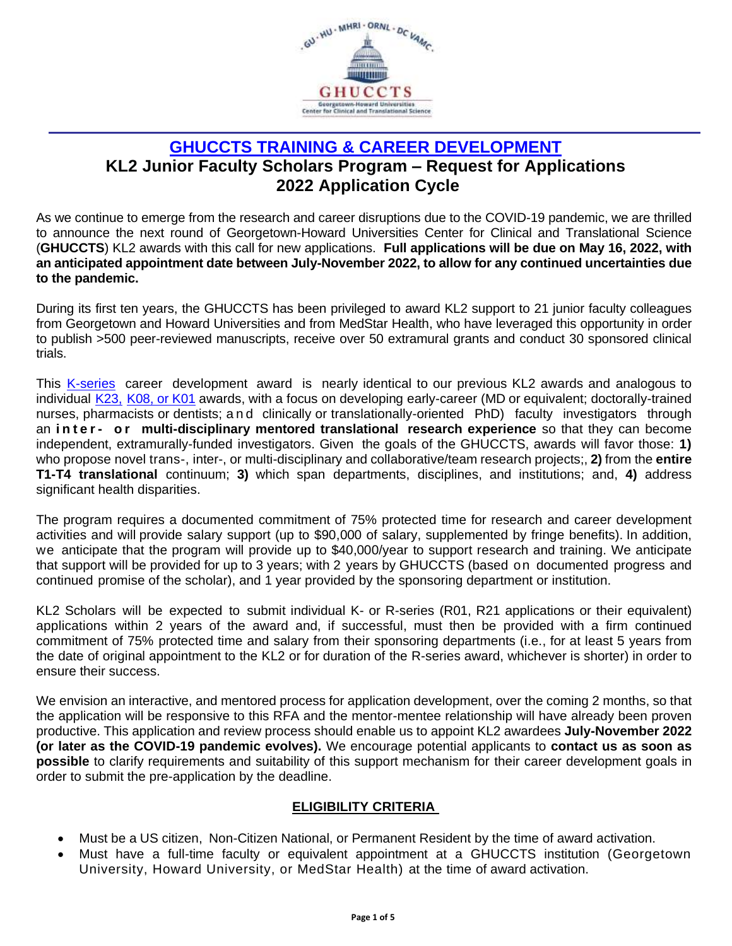

# **GHUCCTS [TRAINING & CAREER DEVELOPMENT](http://www.georgetownhowardctsa.org/education/kl2-scholar-program) KL2 Junior Faculty Scholars Program – Request for Applications 2022 Application Cycle**

As we continue to emerge from the research and career disruptions due to the COVID-19 pandemic, we are thrilled to announce the next round of Georgetown-Howard Universities Center for Clinical and Translational Science (**GHUCCTS**) KL2 awards with this call for new applications. **Full applications will be due on May 16, 2022, with an anticipated appointment date between July-November 2022, to allow for any continued uncertainties due to the pandemic.**

During its first ten years, the GHUCCTS has been privileged to award KL2 support to 21 junior faculty colleagues from Georgetown and Howard Universities and from MedStar Health, who have leveraged this opportunity in order to publish >500 peer-reviewed manuscripts, receive over 50 extramural grants and conduct 30 sponsored clinical trials.

This [K-series](http://grants.nih.gov/training/careerdevelopmentawards.htm) career development award is nearly identical to our previous KL2 awards and analogous to individual [K23,](http://grants2.nih.gov/grants/guide/pa-files/PA-10-060.html) [K08, or K01](https://grants.nih.gov/grants/guide/pa-files/PA-19-126.html) awards, with a focus on developing early-career (MD or equivalent; doctorally-trained nurses, pharmacists or dentists; a n d clinically or translationally-oriented PhD) faculty investigators through an **i n t e r - o r multi-disciplinary mentored translational research experience** so that they can become independent, extramurally-funded investigators. Given the goals of the GHUCCTS, awards will favor those: **1)** who propose novel trans-, inter-, or multi-disciplinary and collaborative/team research projects;, **2)** from the **entire T1-T4 translational** continuum; **3)** which span departments, disciplines, and institutions; and, **4)** address significant health disparities.

The program requires a documented commitment of 75% protected time for research and career development activities and will provide salary support (up to \$90,000 of salary, supplemented by fringe benefits). In addition, we anticipate that the program will provide up to \$40,000/year to support research and training. We anticipate that support will be provided for up to 3 years; with 2 years by GHUCCTS (based on documented progress and continued promise of the scholar), and 1 year provided by the sponsoring department or institution.

KL2 Scholars will be expected to submit individual K- or R-series (R01, R21 applications or their equivalent) applications within 2 years of the award and, if successful, must then be provided with a firm continued commitment of 75% protected time and salary from their sponsoring departments (i.e., for at least 5 years from the date of original appointment to the KL2 or for duration of the R-series award, whichever is shorter) in order to ensure their success.

We envision an interactive, and mentored process for application development, over the coming 2 months, so that the application will be responsive to this RFA and the mentor-mentee relationship will have already been proven productive. This application and review process should enable us to appoint KL2 awardees **July-November 2022 (or later as the COVID-19 pandemic evolves).** We encourage potential applicants to **contact us as soon as possible** to clarify requirements and suitability of this support mechanism for their career development goals in order to submit the pre-application by the deadline.

#### **ELIGIBILITY CRITERIA**

- Must be a US citizen, Non-Citizen National, or Permanent Resident by the time of award activation.
- Must have a full-time faculty or equivalent appointment at a GHUCCTS institution (Georgetown University, Howard University, or MedStar Health) at the time of award activation.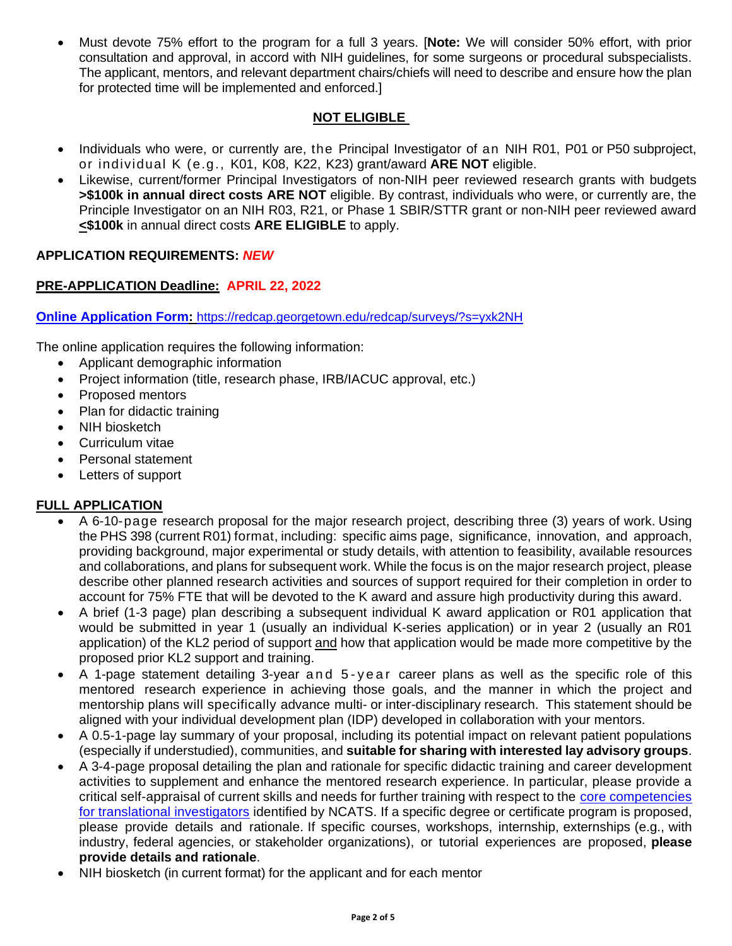• Must devote 75% effort to the program for a full 3 years. [**Note:** We will consider 50% effort, with prior consultation and approval, in accord with NIH guidelines, for some surgeons or procedural subspecialists. The applicant, mentors, and relevant department chairs/chiefs will need to describe and ensure how the plan for protected time will be implemented and enforced.]

## **NOT ELIGIBLE**

- Individuals who were, or currently are, the Principal Investigator of an NIH R01, P01 or P50 subproject, or individual K (e.g., K01, K08, K22, K23) grant/award **ARE NOT** eligible.
- Likewise, current/former Principal Investigators of non-NIH peer reviewed research grants with budgets **>\$100k in annual direct costs ARE NOT** eligible. By contrast, individuals who were, or currently are, the Principle Investigator on an NIH R03, R21, or Phase 1 SBIR/STTR grant or non-NIH peer reviewed award **<\$100k** in annual direct costs **ARE ELIGIBLE** to apply.

## **APPLICATION REQUIREMENTS:** *NEW*

## **PRE-APPLICATION Deadline: APRIL 22, 2022**

**[Online Application Form:](/Users/jgu/Downloads/Online%20Application%20Form)** <https://redcap.georgetown.edu/redcap/surveys/?s=yxk2NH>

The online application requires the following information:

- Applicant demographic information
- Project information (title, research phase, IRB/IACUC approval, etc.)
- Proposed mentors
- Plan for didactic training
- NIH biosketch
- Curriculum vitae
- Personal statement
- Letters of support

#### **FULL APPLICATION**

- A 6-10-page research proposal for the major research project, describing three (3) years of work. Using the PHS 398 (current R01) format, including: specific aims page, significance, innovation, and approach, providing background, major experimental or study details, with attention to feasibility, available resources and collaborations, and plans for subsequent work. While the focus is on the major research project, please describe other planned research activities and sources of support required for their completion in order to account for 75% FTE that will be devoted to the K award and assure high productivity during this award.
- A brief (1-3 page) plan describing a subsequent individual K award application or R01 application that would be submitted in year 1 (usually an individual K-series application) or in year 2 (usually an R01 application) of the KL2 period of support and how that application would be made more competitive by the proposed prior KL2 support and training.
- A 1-page statement detailing 3-year and 5-year career plans as well as the specific role of this mentored research experience in achieving those goals, and the manner in which the project and mentorship plans will specifically advance multi- or inter-disciplinary research. This statement should be aligned with your individual development plan (IDP) developed in collaboration with your mentors.
- A 0.5-1-page lay summary of your proposal, including its potential impact on relevant patient populations (especially if understudied), communities, and **suitable for sharing with interested lay advisory groups**.
- A 3-4-page proposal detailing the plan and rationale for specific didactic training and career development activities to supplement and enhance the mentored research experience. In particular, please provide a critical self-appraisal of current skills and needs for further training with respect to the core [competencies](https://clic-ctsa.org/sites/default/files/CTSA_Core_Competencies_final_2011.pdf) for translational investigators identified by NCATS. If a specific degree or certificate program is proposed, please provide details and rationale. If specific courses, workshops, internship, externships (e.g., with industry, federal agencies, or stakeholder organizations), or tutorial experiences are proposed, **please provide details and rationale**.
- NIH biosketch (in current format) for the applicant and for each mentor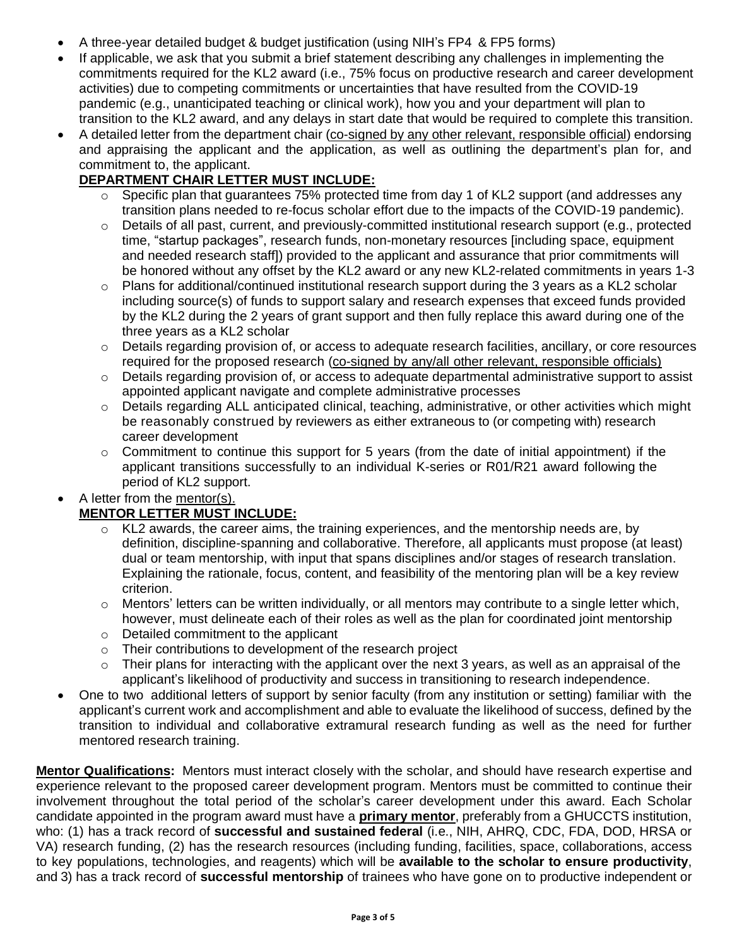- A three-year detailed budget & budget justification (using NIH's FP4 & FP5 forms)
- If applicable, we ask that you submit a brief statement describing any challenges in implementing the commitments required for the KL2 award (i.e., 75% focus on productive research and career development activities) due to competing commitments or uncertainties that have resulted from the COVID-19 pandemic (e.g., unanticipated teaching or clinical work), how you and your department will plan to transition to the KL2 award, and any delays in start date that would be required to complete this transition.
- A detailed letter from the department chair (co-signed by any other relevant, responsible official) endorsing and appraising the applicant and the application, as well as outlining the department's plan for, and commitment to, the applicant.

# **DEPARTMENT CHAIR LETTER MUST INCLUDE:**

- $\circ$  Specific plan that guarantees 75% protected time from day 1 of KL2 support (and addresses any transition plans needed to re-focus scholar effort due to the impacts of the COVID-19 pandemic).
- $\circ$  Details of all past, current, and previously-committed institutional research support (e.g., protected time, "startup packages", research funds, non-monetary resources [including space, equipment and needed research staff]) provided to the applicant and assurance that prior commitments will be honored without any offset by the KL2 award or any new KL2-related commitments in years 1-3
- $\circ$  Plans for additional/continued institutional research support during the 3 years as a KL2 scholar including source(s) of funds to support salary and research expenses that exceed funds provided by the KL2 during the 2 years of grant support and then fully replace this award during one of the three years as a KL2 scholar
- $\circ$  Details regarding provision of, or access to adequate research facilities, ancillary, or core resources required for the proposed research (co-signed by any/all other relevant, responsible officials)
- $\circ$  Details regarding provision of, or access to adequate departmental administrative support to assist appointed applicant navigate and complete administrative processes
- $\circ$  Details regarding ALL anticipated clinical, teaching, administrative, or other activities which might be reasonably construed by reviewers as either extraneous to (or competing with) research career development
- $\circ$  Commitment to continue this support for 5 years (from the date of initial appointment) if the applicant transitions successfully to an individual K-series or R01/R21 award following the period of KL2 support.

## • A letter from the mentor(s).

## **MENTOR LETTER MUST INCLUDE:**

- $\circ$  KL2 awards, the career aims, the training experiences, and the mentorship needs are, by definition, discipline-spanning and collaborative. Therefore, all applicants must propose (at least) dual or team mentorship, with input that spans disciplines and/or stages of research translation. Explaining the rationale, focus, content, and feasibility of the mentoring plan will be a key review criterion.
- o Mentors' letters can be written individually, or all mentors may contribute to a single letter which, however, must delineate each of their roles as well as the plan for coordinated joint mentorship
- o Detailed commitment to the applicant
- o Their contributions to development of the research project
- Their plans for interacting with the applicant over the next 3 years, as well as an appraisal of the applicant's likelihood of productivity and success in transitioning to research independence.
- One to two additional letters of support by senior faculty (from any institution or setting) familiar with the applicant's current work and accomplishment and able to evaluate the likelihood of success, defined by the transition to individual and collaborative extramural research funding as well as the need for further mentored research training.

**Mentor Qualifications:** Mentors must interact closely with the scholar, and should have research expertise and experience relevant to the proposed career development program. Mentors must be committed to continue their involvement throughout the total period of the scholar's career development under this award. Each Scholar candidate appointed in the program award must have a **primary mentor**, preferably from a GHUCCTS institution, who: (1) has a track record of **successful and sustained federal** (i.e., NIH, AHRQ, CDC, FDA, DOD, HRSA or VA) research funding, (2) has the research resources (including funding, facilities, space, collaborations, access to key populations, technologies, and reagents) which will be **available to the scholar to ensure productivity**, and 3) has a track record of **successful mentorship** of trainees who have gone on to productive independent or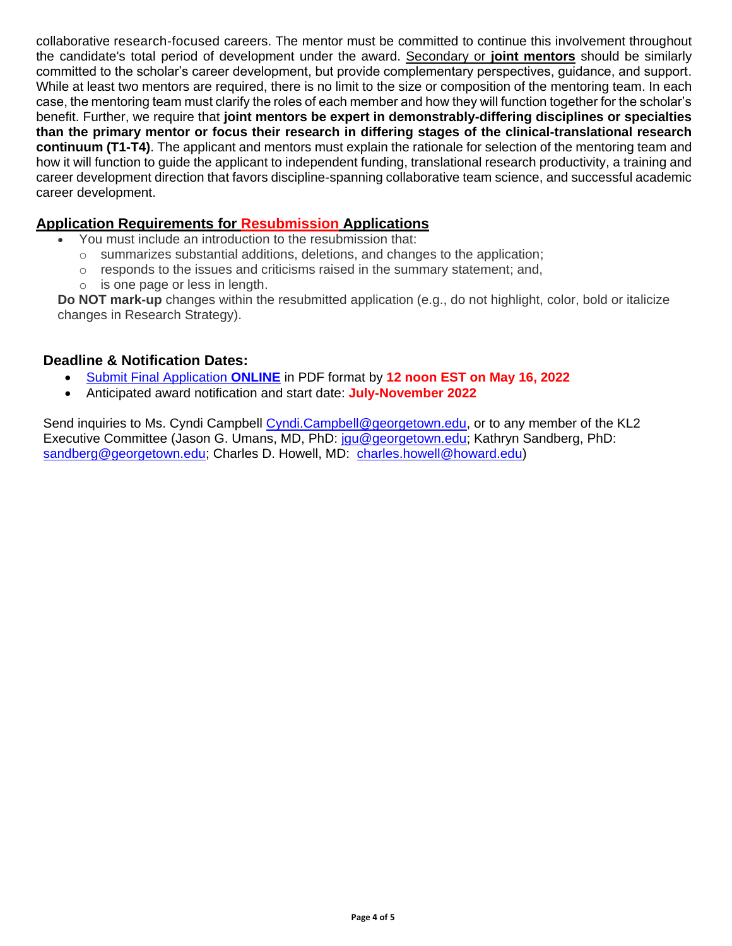collaborative research-focused careers. The mentor must be committed to continue this involvement throughout the candidate's total period of development under the award. Secondary or **joint mentors** should be similarly committed to the scholar's career development, but provide complementary perspectives, guidance, and support. While at least two mentors are required, there is no limit to the size or composition of the mentoring team. In each case, the mentoring team must clarify the roles of each member and how they will function together for the scholar's benefit. Further, we require that **joint mentors be expert in demonstrably-differing disciplines or specialties than the primary mentor or focus their research in differing stages of the clinical-translational research continuum (T1-T4)**. The applicant and mentors must explain the rationale for selection of the mentoring team and how it will function to guide the applicant to independent funding, translational research productivity, a training and career development direction that favors discipline-spanning collaborative team science, and successful academic career development.

## **Application Requirements for Resubmission Applications**

- You must include an introduction to the resubmission that:
	- $\circ$  summarizes substantial additions, deletions, and changes to the application;
	- $\circ$  responds to the issues and criticisms raised in the summary statement; and,
	- $\circ$  is one page or less in length.

**Do NOT mark-up** changes within the resubmitted application (e.g., do not highlight, color, bold or italicize changes in Research Strategy).

## **Deadline & Notification Dates:**

- [Submit Final Application](https://forms.gle/tAD32h93o34QJhQr9) **ONLINE** in PDF format by **12 noon EST on May 16, 2022**
- Anticipated award notification and start date: **July-November 2022**

Send inquiries to Ms. Cyndi Campbell [Cyndi.Campbell@georgetown.edu,](mailto:Cyndi.Campbell@georgetown.edu) or to any member of the KL2 Executive Committee (Jason G. Umans, MD, PhD: [jgu@georgetown.edu;](mailto:jgu@georgetown.edu) Kathryn Sandberg, PhD: [sandberg@georgetown.edu;](mailto:sandberg@georgetown.edu) Charles D. Howell, MD: [charles.howell@howard.edu\)](mailto:charles.howell@howard.edu)